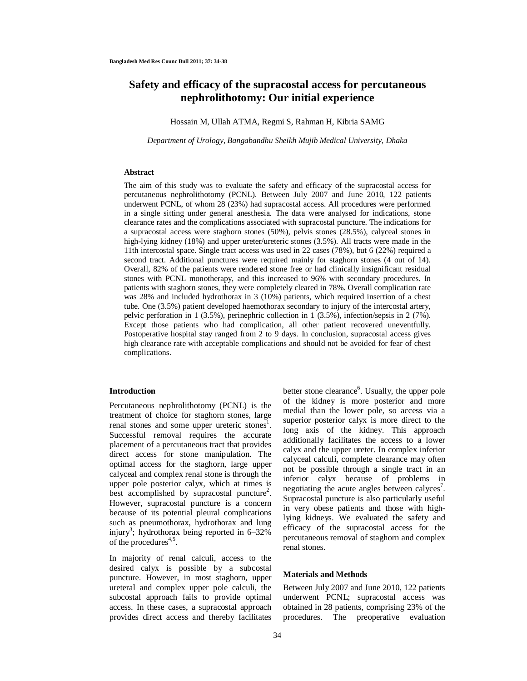# **Safety and efficacy of the supracostal access for percutaneous nephrolithotomy: Our initial experience**

## Hossain M, Ullah ATMA, Regmi S, Rahman H, Kibria SAMG

*Department of Urology, Bangabandhu Sheikh Mujib Medical University, Dhaka*

#### **Abstract**

The aim of this study was to evaluate the safety and efficacy of the supracostal access for percutaneous nephrolithotomy (PCNL). Between July 2007 and June 2010, 122 patients underwent PCNL, of whom 28 (23%) had supracostal access. All procedures were performed in a single sitting under general anesthesia. The data were analysed for indications, stone clearance rates and the complications associated with supracostal puncture. The indications for a supracostal access were staghorn stones (50%), pelvis stones (28.5%), calyceal stones in high-lying kidney (18%) and upper ureter/ureteric stones (3.5%). All tracts were made in the 11th intercostal space. Single tract access was used in 22 cases (78%), but 6 (22%) required a second tract. Additional punctures were required mainly for staghorn stones (4 out of 14). Overall, 82% of the patients were rendered stone free or had clinically insignificant residual stones with PCNL monotherapy, and this increased to 96% with secondary procedures. In patients with staghorn stones, they were completely cleared in 78%. Overall complication rate was 28% and included hydrothorax in 3 (10%) patients, which required insertion of a chest tube. One (3.5%) patient developed haemothorax secondary to injury of the intercostal artery, pelvic perforation in 1 (3.5%), perinephric collection in 1 (3.5%), infection/sepsis in 2 (7%). Except those patients who had complication, all other patient recovered uneventfully. Postoperative hospital stay ranged from 2 to 9 days. In conclusion, supracostal access gives high clearance rate with acceptable complications and should not be avoided for fear of chest complications.

# **Introduction**

Percutaneous nephrolithotomy (PCNL) is the treatment of choice for staghorn stones, large renal stones and some upper ureteric stones<sup>1</sup>. Successful removal requires the accurate placement of a percutaneous tract that provides direct access for stone manipulation. The optimal access for the staghorn, large upper calyceal and complex renal stone is through the upper pole posterior calyx, which at times is best accomplished by supracostal puncture<sup>2</sup>. However, supracostal puncture is a concern because of its potential pleural complications such as pneumothorax, hydrothorax and lung injury<sup>3</sup>; hydrothorax being reported in  $6-32\%$ of the procedures $4,5$ .

In majority of renal calculi, access to the desired calyx is possible by a subcostal puncture. However, in most staghorn, upper ureteral and complex upper pole calculi, the subcostal approach fails to provide optimal access. In these cases, a supracostal approach provides direct access and thereby facilitates

better stone clearance<sup>6</sup>. Usually, the upper pole of the kidney is more posterior and more medial than the lower pole, so access via a superior posterior calyx is more direct to the long axis of the kidney. This approach additionally facilitates the access to a lower calyx and the upper ureter. In complex inferior calyceal calculi, complete clearance may often not be possible through a single tract in an inferior calyx because of problems in negotiating the acute angles between calyces<sup>7</sup>. Supracostal puncture is also particularly useful in very obese patients and those with highlying kidneys. We evaluated the safety and efficacy of the supracostal access for the percutaneous removal of staghorn and complex renal stones.

### **Materials and Methods**

Between July 2007 and June 2010, 122 patients underwent PCNL; supracostal access was obtained in 28 patients, comprising 23% of the procedures. The preoperative evaluation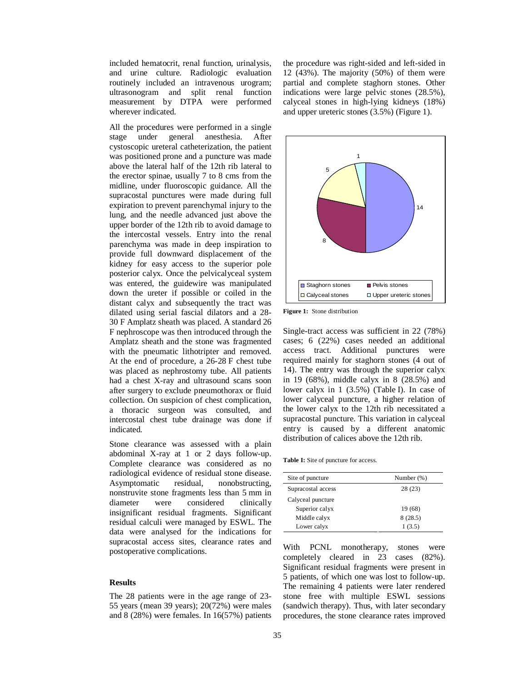included hematocrit, renal function, urinalysis, and urine culture. Radiologic evaluation routinely included an intravenous urogram; ultrasonogram and split renal function measurement by DTPA were performed wherever indicated.

All the procedures were performed in a single stage under general anesthesia. After cystoscopic ureteral catheterization, the patient was positioned prone and a puncture was made above the lateral half of the 12th rib lateral to the erector spinae, usually 7 to 8 cms from the midline, under fluoroscopic guidance. All the supracostal punctures were made during full expiration to prevent parenchymal injury to the lung, and the needle advanced just above the upper border of the 12th rib to avoid damage to the intercostal vessels. Entry into the renal parenchyma was made in deep inspiration to provide full downward displacement of the kidney for easy access to the superior pole posterior calyx. Once the pelvicalyceal system was entered, the guidewire was manipulated down the ureter if possible or coiled in the distant calyx and subsequently the tract was dilated using serial fascial dilators and a 28- 30 F Amplatz sheath was placed. A standard 26 F nephroscope was then introduced through the Amplatz sheath and the stone was fragmented with the pneumatic lithotripter and removed. At the end of procedure, a 26-28 F chest tube was placed as nephrostomy tube. All patients had a chest X-ray and ultrasound scans soon after surgery to exclude pneumothorax or fluid collection. On suspicion of chest complication, a thoracic surgeon was consulted, and intercostal chest tube drainage was done if indicated.

Stone clearance was assessed with a plain abdominal X-ray at 1 or 2 days follow-up. Complete clearance was considered as no radiological evidence of residual stone disease. Asymptomatic residual, nonobstructing, nonstruvite stone fragments less than 5 mm in diameter were considered clinically insignificant residual fragments. Significant residual calculi were managed by ESWL. The data were analysed for the indications for supracostal access sites, clearance rates and postoperative complications.

# **Results**

The 28 patients were in the age range of 23- 55 years (mean 39 years); 20(72%) were males and 8 (28%) were females. In 16(57%) patients the procedure was right-sided and left-sided in 12 (43%). The majority (50%) of them were partial and complete staghorn stones. Other indications were large pelvic stones (28.5%), calyceal stones in high-lying kidneys (18%) and upper ureteric stones (3.5%) (Figure 1).



**Figure 1:** Stone distribution

Single-tract access was sufficient in 22 (78%) cases; 6 (22%) cases needed an additional access tract. Additional punctures were required mainly for staghorn stones (4 out of 14). The entry was through the superior calyx in 19 (68%), middle calyx in 8 (28.5%) and lower calyx in 1 (3.5%) (Table I). In case of lower calyceal puncture, a higher relation of the lower calyx to the 12th rib necessitated a supracostal puncture. This variation in calyceal entry is caused by a different anatomic distribution of calices above the 12th rib.

**Table I:** Site of puncture for access.

| Number $(\%)$ |
|---------------|
| 28 (23)       |
|               |
| 19 (68)       |
| 8(28.5)       |
| 1(3.5)        |
|               |

With PCNL monotherapy, stones were completely cleared in 23 cases (82%). Significant residual fragments were present in 5 patients, of which one was lost to follow-up. The remaining 4 patients were later rendered stone free with multiple ESWL sessions (sandwich therapy). Thus, with later secondary procedures, the stone clearance rates improved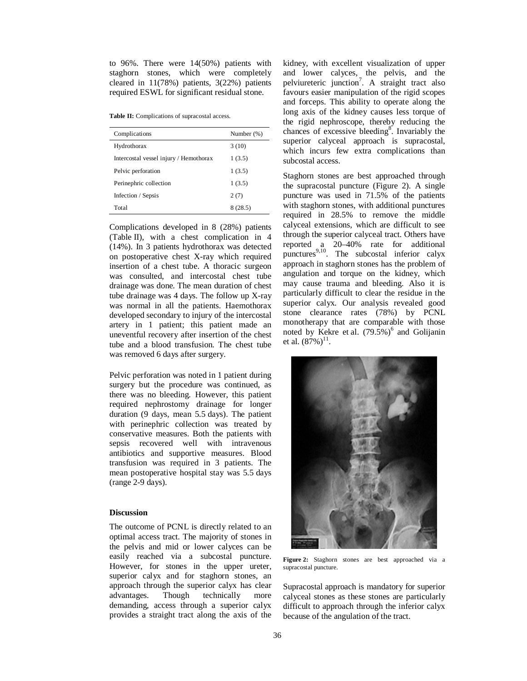to 96%. There were 14(50%) patients with staghorn stones, which were completely cleared in 11(78%) patients, 3(22%) patients required ESWL for significant residual stone.

**Table II:** Complications of supracostal access.

| Complications                          | Number (%) |
|----------------------------------------|------------|
| Hydrothorax                            | 3(10)      |
| Intercostal vessel injury / Hemothorax | 1(3.5)     |
| Pelvic perforation                     | 1(3.5)     |
| Perinephric collection                 | 1(3.5)     |
| Infection / Sepsis                     | 2(7)       |
| Total                                  | 8(28.5)    |

Complications developed in 8 (28%) patients (Table II), with a chest complication in 4 (14%). In 3 patients hydrothorax was detected on postoperative chest X-ray which required insertion of a chest tube. A thoracic surgeon was consulted, and intercostal chest tube drainage was done. The mean duration of chest tube drainage was 4 days. The follow up X-ray was normal in all the patients. Haemothorax developed secondary to injury of the intercostal artery in 1 patient; this patient made an uneventful recovery after insertion of the chest tube and a blood transfusion. The chest tube was removed 6 days after surgery.

Pelvic perforation was noted in 1 patient during surgery but the procedure was continued, as there was no bleeding. However, this patient required nephrostomy drainage for longer duration (9 days, mean 5.5 days). The patient with perinephric collection was treated by conservative measures. Both the patients with sepsis recovered well with intravenous antibiotics and supportive measures. Blood transfusion was required in 3 patients. The mean postoperative hospital stay was 5.5 days (range 2-9 days).

## **Discussion**

The outcome of PCNL is directly related to an optimal access tract. The majority of stones in the pelvis and mid or lower calyces can be easily reached via a subcostal puncture. However, for stones in the upper ureter, superior calyx and for staghorn stones, an approach through the superior calyx has clear advantages. Though technically more demanding, access through a superior calyx provides a straight tract along the axis of the

kidney, with excellent visualization of upper and lower calyces, the pelvis, and the pelviureteric junction<sup>7</sup>. A straight tract also favours easier manipulation of the rigid scopes and forceps. This ability to operate along the long axis of the kidney causes less torque of the rigid nephroscope, thereby reducing the chances of excessive bleeding<sup>8</sup>. Invariably the superior calyceal approach is supracostal, which incurs few extra complications than subcostal access.

Staghorn stones are best approached through the supracostal puncture (Figure 2). A single puncture was used in 71.5% of the patients with staghorn stones, with additional punctures required in 28.5% to remove the middle calyceal extensions, which are difficult to see through the superior calyceal tract. Others have reported a 20–40% rate for additional punctures<sup>9,10</sup>. The subcostal inferior calyx approach in staghorn stones has the problem of angulation and torque on the kidney, which may cause trauma and bleeding. Also it is particularly difficult to clear the residue in the superior calyx. Our analysis revealed good stone clearance rates (78%) by PCNL monotherapy that are comparable with those noted by Kekre et al.  $(79.5\%)^6$  and Golijanin et al.  $(\overline{87\%})^{11}$ .



**Figure 2:** Staghorn stones are best approached via a supracostal puncture.

Supracostal approach is mandatory for superior calyceal stones as these stones are particularly difficult to approach through the inferior calyx because of the angulation of the tract.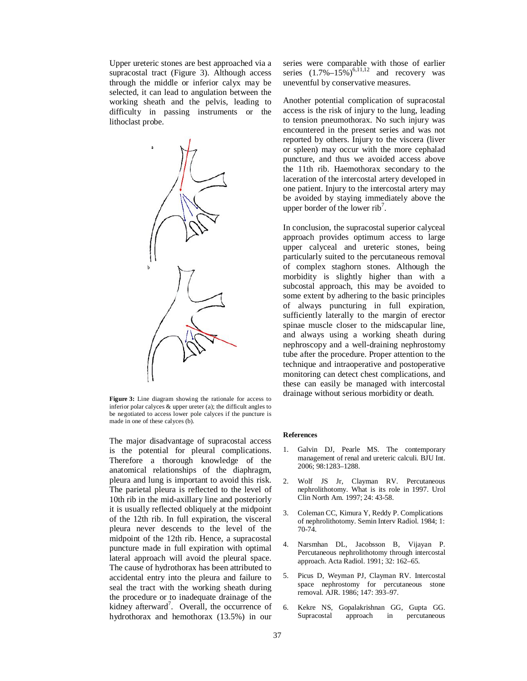Upper ureteric stones are best approached via a supracostal tract (Figure 3). Although access through the middle or inferior calyx may be selected, it can lead to angulation between the working sheath and the pelvis, leading to difficulty in passing instruments or the lithoclast probe.



**Figure 3:** Line diagram showing the rationale for access to inferior polar calyces & upper ureter (a); the difficult angles to be negotiated to access lower pole calyces if the puncture is made in one of these calyces (b).

The major disadvantage of supracostal access is the potential for pleural complications. Therefore a thorough knowledge of the anatomical relationships of the diaphragm, pleura and lung is important to avoid this risk. The parietal pleura is reflected to the level of 10th rib in the mid-axillary line and posteriorly it is usually reflected obliquely at the midpoint of the 12th rib. In full expiration, the visceral pleura never descends to the level of the midpoint of the 12th rib. Hence, a supracostal puncture made in full expiration with optimal lateral approach will avoid the pleural space. The cause of hydrothorax has been attributed to accidental entry into the pleura and failure to seal the tract with the working sheath during the procedure or to inadequate drainage of the kidney afterward<sup>7</sup>. Overall, the occurrence of hydrothorax and hemothorax (13.5%) in our

series were comparable with those of earlier series  $(1.7\% - 15\%)^{6,11,12}$  and recovery was uneventful by conservative measures.

Another potential complication of supracostal access is the risk of injury to the lung, leading to tension pneumothorax. No such injury was encountered in the present series and was not reported by others. Injury to the viscera (liver or spleen) may occur with the more cephalad puncture, and thus we avoided access above the 11th rib. Haemothorax secondary to the laceration of the intercostal artery developed in one patient. Injury to the intercostal artery may be avoided by staying immediately above the upper border of the lower rib<sup>7</sup>.

In conclusion, the supracostal superior calyceal approach provides optimum access to large upper calyceal and ureteric stones, being particularly suited to the percutaneous removal of complex staghorn stones. Although the morbidity is slightly higher than with a subcostal approach, this may be avoided to some extent by adhering to the basic principles of always puncturing in full expiration, sufficiently laterally to the margin of erector spinae muscle closer to the midscapular line, and always using a working sheath during nephroscopy and a well-draining nephrostomy tube after the procedure. Proper attention to the technique and intraoperative and postoperative monitoring can detect chest complications, and these can easily be managed with intercostal drainage without serious morbidity or death.

#### **References**

- 1. Galvin DJ, Pearle MS. The contemporary management of renal and ureteric calculi. BJU Int. 2006; 98:1283–1288.
- 2. Wolf JS Jr, Clayman RV. Percutaneous nephrolithotomy. What is its role in 1997. Urol Clin North Am. 1997; 24: 43-58.
- 3. Coleman CC, Kimura Y, Reddy P. Complications of nephrolithotomy. Semin Interv Radiol. 1984; 1: 70-74.
- 4. Narsmhan DL, Jacobsson B, Vijayan P. Percutaneous nephrolithotomy through intercostal approach. Acta Radiol. 1991; 32: 162–65.
- 5. Picus D, Weyman PJ, Clayman RV. Intercostal space nephrostomy for percutaneous stone removal. AJR. 1986; 147: 393–97.
- 6. Kekre NS, Gopalakrishnan GG, Gupta GG. Supracostal approach in percutaneous